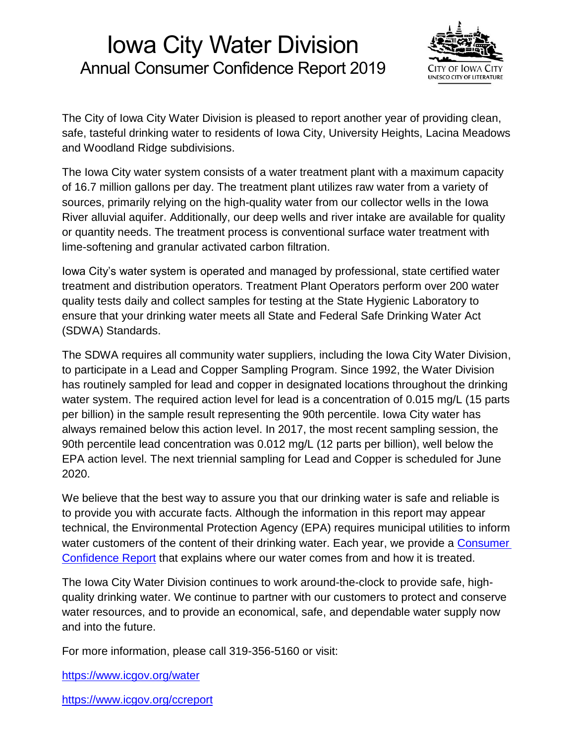# Iowa City Water Division Annual Consumer Confidence Report 2019



The City of Iowa City Water Division is pleased to report another year of providing clean, safe, tasteful drinking water to residents of Iowa City, University Heights, Lacina Meadows and Woodland Ridge subdivisions.

The Iowa City water system consists of a water treatment plant with a maximum capacity of 16.7 million gallons per day. The treatment plant utilizes raw water from a variety of sources, primarily relying on the high-quality water from our collector wells in the Iowa River alluvial aquifer. Additionally, our deep wells and river intake are available for quality or quantity needs. The treatment process is conventional surface water treatment with lime-softening and granular activated carbon filtration.

Iowa City's water system is operated and managed by professional, state certified water treatment and distribution operators. Treatment Plant Operators perform over 200 water quality tests daily and collect samples for testing at the State Hygienic Laboratory to ensure that your drinking water meets all State and Federal Safe Drinking Water Act (SDWA) Standards.

The SDWA requires all community water suppliers, including the Iowa City Water Division, to participate in a Lead and Copper Sampling Program. Since 1992, the Water Division has routinely sampled for lead and copper in designated locations throughout the drinking water system. The required action level for lead is a concentration of 0.015 mg/L (15 parts per billion) in the sample result representing the 90th percentile. Iowa City water has always remained below this action level. In 2017, the most recent sampling session, the 90th percentile lead concentration was 0.012 mg/L (12 parts per billion), well below the EPA action level. The next triennial sampling for Lead and Copper is scheduled for June 2020.

We believe that the best way to assure you that our drinking water is safe and reliable is to provide you with accurate facts. Although the information in this report may appear technical, the Environmental Protection Agency (EPA) requires municipal utilities to inform water customers of the content of their drinking water. Each year, we provide a Consumer [Confidence Report](https://www.icgov.org/ccreport) that explains where our water comes from and how it is treated.

The Iowa City Water Division continues to work around-the-clock to provide safe, highquality drinking water. We continue to partner with our customers to protect and conserve water resources, and to provide an economical, safe, and dependable water supply now and into the future.

For more information, please call 319-356-5160 or visit:

<https://www.icgov.org/water>

<https://www.icgov.org/ccreport>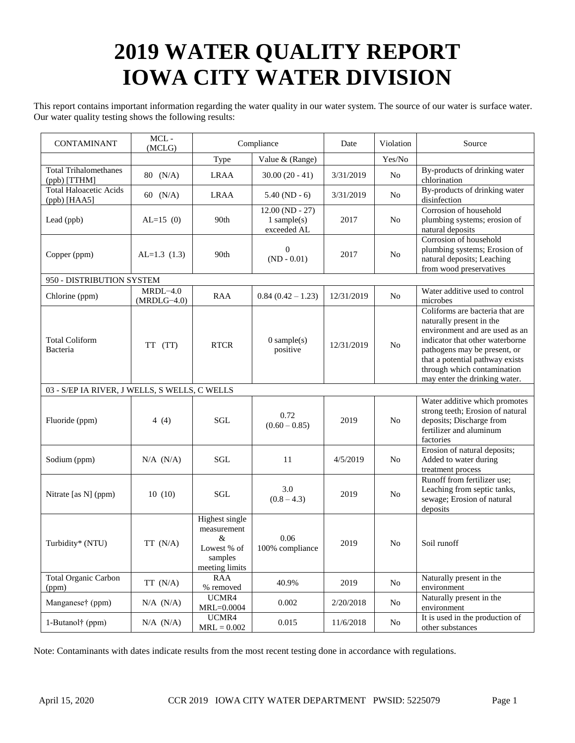# **2019 WATER QUALITY REPORT IOWA CITY WATER DIVISION**

This report contains important information regarding the water quality in our water system. The source of our water is surface water. Our water quality testing shows the following results:

| <b>CONTAMINANT</b>                            | $MCL -$<br>(MCLG)           | Compliance                                                                        |                                                   | Date       | Violation      | Source                                                                                                                                                                                                                                                              |  |
|-----------------------------------------------|-----------------------------|-----------------------------------------------------------------------------------|---------------------------------------------------|------------|----------------|---------------------------------------------------------------------------------------------------------------------------------------------------------------------------------------------------------------------------------------------------------------------|--|
|                                               |                             | Type                                                                              | Value & (Range)                                   |            | Yes/No         |                                                                                                                                                                                                                                                                     |  |
| <b>Total Trihalomethanes</b><br>(ppb) [TTHM]  | 80 (N/A)                    | <b>LRAA</b>                                                                       | $30.00(20 - 41)$                                  | 3/31/2019  | N <sub>o</sub> | By-products of drinking water<br>chlorination                                                                                                                                                                                                                       |  |
| <b>Total Haloacetic Acids</b><br>(ppb) [HAA5] | 60 (N/A)                    | <b>LRAA</b>                                                                       | $5.40(ND-6)$                                      | 3/31/2019  | No.            | By-products of drinking water<br>disinfection                                                                                                                                                                                                                       |  |
| Lead (ppb)                                    | $AL=15(0)$                  | 90th                                                                              | $12.00 (ND - 27)$<br>$1$ sample(s)<br>exceeded AL | 2017       | N <sub>o</sub> | Corrosion of household<br>plumbing systems; erosion of<br>natural deposits                                                                                                                                                                                          |  |
| Copper (ppm)                                  | $AL=1.3(1.3)$               | 90th                                                                              | $\boldsymbol{0}$<br>$(ND - 0.01)$                 | 2017       | No             | Corrosion of household<br>plumbing systems; Erosion of<br>natural deposits; Leaching<br>from wood preservatives                                                                                                                                                     |  |
| 950 - DISTRIBUTION SYSTEM                     |                             |                                                                                   |                                                   |            |                |                                                                                                                                                                                                                                                                     |  |
| Chlorine (ppm)                                | $MRDL-4.0$<br>$(MRDLG-4.0)$ | RAA                                                                               | $0.84(0.42-1.23)$                                 | 12/31/2019 | No.            | Water additive used to control<br>microbes                                                                                                                                                                                                                          |  |
| <b>Total Coliform</b><br>Bacteria             | TT (TT)                     | <b>RTCR</b>                                                                       | $0$ sample(s)<br>positive                         | 12/31/2019 | No             | Coliforms are bacteria that are<br>naturally present in the<br>environment and are used as an<br>indicator that other waterborne<br>pathogens may be present, or<br>that a potential pathway exists<br>through which contamination<br>may enter the drinking water. |  |
| 03 - S/EP IA RIVER, J WELLS, S WELLS, C WELLS |                             |                                                                                   |                                                   |            |                |                                                                                                                                                                                                                                                                     |  |
| Fluoride (ppm)                                | 4 $(4)$                     | <b>SGL</b>                                                                        | 0.72<br>$(0.60 - 0.85)$                           | 2019       | N <sub>o</sub> | Water additive which promotes<br>strong teeth; Erosion of natural<br>deposits; Discharge from<br>fertilizer and aluminum<br>factories                                                                                                                               |  |
| Sodium (ppm)                                  | $N/A$ $(N/A)$               | SGL                                                                               | 11                                                | 4/5/2019   | N <sub>o</sub> | Erosion of natural deposits;<br>Added to water during<br>treatment process                                                                                                                                                                                          |  |
| Nitrate [as N] (ppm)                          | 10(10)                      | SGL                                                                               | 3.0<br>$(0.8 - 4.3)$                              | 2019       | N <sub>o</sub> | Runoff from fertilizer use;<br>Leaching from septic tanks,<br>sewage; Erosion of natural<br>deposits                                                                                                                                                                |  |
| Turbidity* (NTU)                              | TT (N/A)                    | Highest single<br>measurement<br>$\&$<br>Lowest % of<br>samples<br>meeting limits | 0.06<br>100% compliance                           | 2019       | N <sub>o</sub> | Soil runoff                                                                                                                                                                                                                                                         |  |
| <b>Total Organic Carbon</b><br>(ppm)          | TT(N/A)                     | <b>RAA</b><br>% removed                                                           | 40.9%                                             | 2019       | No             | Naturally present in the<br>environment                                                                                                                                                                                                                             |  |
| Manganese† (ppm)                              | $N/A$ $(N/A)$               | UCMR4<br>$MRL = 0.0004$                                                           | 0.002                                             | 2/20/2018  | No             | Naturally present in the<br>environment                                                                                                                                                                                                                             |  |
| 1-Butanol <sup>†</sup> (ppm)                  | $N/A$ $(N/A)$               | UCMR4<br>$MRL = 0.002$                                                            | 0.015                                             | 11/6/2018  | No             | It is used in the production of<br>other substances                                                                                                                                                                                                                 |  |

Note: Contaminants with dates indicate results from the most recent testing done in accordance with regulations.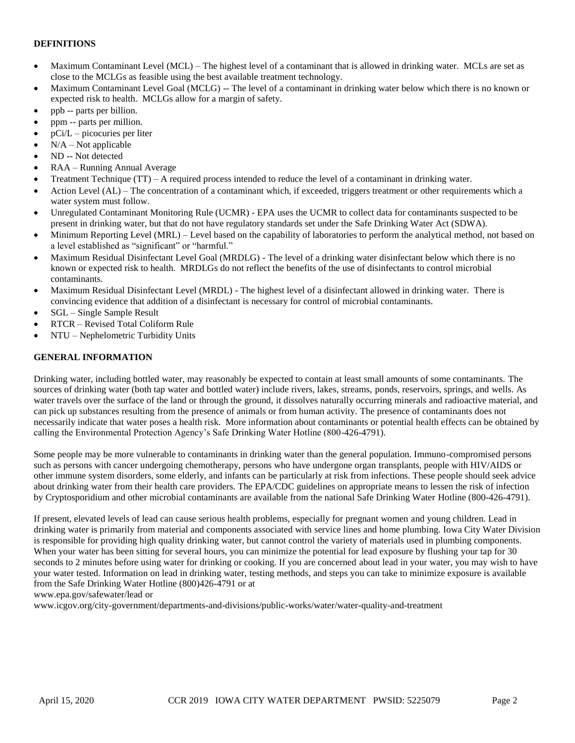# **DEFINITIONS**

- Maximum Contaminant Level (MCL) The highest level of a contaminant that is allowed in drinking water. MCLs are set as close to the MCLGs as feasible using the best available treatment technology.
- Maximum Contaminant Level Goal (MCLG) -- The level of a contaminant in drinking water below which there is no known or expected risk to health. MCLGs allow for a margin of safety.
- ppb -- parts per billion.
- ppm -- parts per million.
- pCi/L picocuries per liter
- $N/A Not$  applicable
- ND -- Not detected
- RAA Running Annual Average
- Treatment Technique (TT) A required process intended to reduce the level of a contaminant in drinking water.
- Action Level (AL) The concentration of a contaminant which, if exceeded, triggers treatment or other requirements which a water system must follow.
- Unregulated Contaminant Monitoring Rule (UCMR) EPA uses the UCMR to collect data for contaminants suspected to be present in drinking water, but that do not have regulatory standards set under the Safe Drinking Water Act (SDWA).
- Minimum Reporting Level (MRL) Level based on the capability of laboratories to perform the analytical method, not based on a level established as "significant" or "harmful."
- Maximum Residual Disinfectant Level Goal (MRDLG) The level of a drinking water disinfectant below which there is no known or expected risk to health. MRDLGs do not reflect the benefits of the use of disinfectants to control microbial contaminants.
- Maximum Residual Disinfectant Level (MRDL) The highest level of a disinfectant allowed in drinking water. There is convincing evidence that addition of a disinfectant is necessary for control of microbial contaminants.
- SGL Single Sample Result
- RTCR Revised Total Coliform Rule
- NTU Nephelometric Turbidity Units

## **GENERAL INFORMATION**

Drinking water, including bottled water, may reasonably be expected to contain at least small amounts of some contaminants. The sources of drinking water (both tap water and bottled water) include rivers, lakes, streams, ponds, reservoirs, springs, and wells. As water travels over the surface of the land or through the ground, it dissolves naturally occurring minerals and radioactive material, and can pick up substances resulting from the presence of animals or from human activity. The presence of contaminants does not necessarily indicate that water poses a health risk. More information about contaminants or potential health effects can be obtained by calling the Environmental Protection Agency's Safe Drinking Water Hotline (800-426-4791).

Some people may be more vulnerable to contaminants in drinking water than the general population. Immuno-compromised persons such as persons with cancer undergoing chemotherapy, persons who have undergone organ transplants, people with HIV/AIDS or other immune system disorders, some elderly, and infants can be particularly at risk from infections. These people should seek advice about drinking water from their health care providers. The EPA/CDC guidelines on appropriate means to lessen the risk of infection by Cryptosporidium and other microbial contaminants are available from the national Safe Drinking Water Hotline (800-426-4791).

If present, elevated levels of lead can cause serious health problems, especially for pregnant women and young children. Lead in drinking water is primarily from material and components associated with service lines and home plumbing. Iowa City Water Division is responsible for providing high quality drinking water, but cannot control the variety of materials used in plumbing components. When your water has been sitting for several hours, you can minimize the potential for lead exposure by flushing your tap for 30 seconds to 2 minutes before using water for drinking or cooking. If you are concerned about lead in your water, you may wish to have your water tested. Information on lead in drinking water, testing methods, and steps you can take to minimize exposure is available from the Safe Drinking Water Hotline (800)426-4791 or at

www.epa.gov/safewater/lead or

www.icgov.org/city-government/departments-and-divisions/public-works/water/water-quality-and-treatment